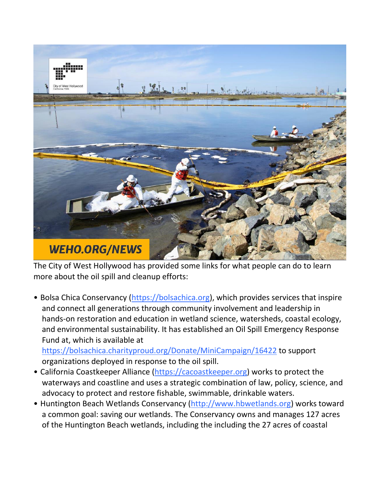

The City of West Hollywood has provided some links for what people can do to learn more about the oil spill and cleanup efforts:

• Bolsa Chica Conservancy [\(https://bolsachica.org\)](https://bolsachica.org/), which provides services that inspire and connect all generations through community involvement and leadership in hands-on restoration and education in wetland science, watersheds, coastal ecology, and environmental sustainability. It has established an Oil Spill Emergency Response Fund at, which is available at

<https://bolsachica.charityproud.org/Donate/MiniCampaign/16422> to support organizations deployed in response to the oil spill.

- California Coastkeeper Alliance [\(https://cacoastkeeper.org\)](https://cacoastkeeper.org/) works to protect the waterways and coastline and uses a strategic combination of law, policy, science, and advocacy to protect and restore fishable, swimmable, drinkable waters.
- Huntington Beach Wetlands Conservancy [\(http://www.hbwetlands.org\)](http://www.hbwetlands.org/) works toward a common goal: saving our wetlands. The Conservancy owns and manages 127 acres of the Huntington Beach wetlands, including the including the 27 acres of coastal